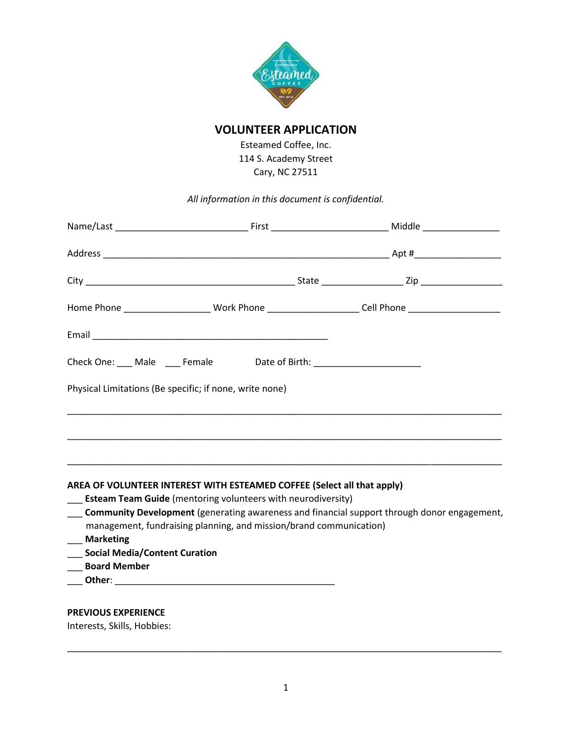

## **VOLUNTEER APPLICATION**

Esteamed Coffee, Inc. 114 S. Academy Street Cary, NC 27511

*All information in this document is confidential.* 

|                                                                         |                                                                                  | Home Phone ____________________________Work Phone _______________________Cell Phone _____________________ |  |  |  |  |
|-------------------------------------------------------------------------|----------------------------------------------------------------------------------|-----------------------------------------------------------------------------------------------------------|--|--|--|--|
|                                                                         |                                                                                  |                                                                                                           |  |  |  |  |
|                                                                         | Check One: ___ Male ____ Female Date of Birth: _________________________________ |                                                                                                           |  |  |  |  |
|                                                                         | Physical Limitations (Be specific; if none, write none)                          |                                                                                                           |  |  |  |  |
|                                                                         |                                                                                  |                                                                                                           |  |  |  |  |
|                                                                         |                                                                                  |                                                                                                           |  |  |  |  |
|                                                                         |                                                                                  |                                                                                                           |  |  |  |  |
| AREA OF VOLUNTEER INTEREST WITH ESTEAMED COFFEE (Select all that apply) |                                                                                  |                                                                                                           |  |  |  |  |

- **Esteam Team Guide** (mentoring volunteers with neurodiversity)
- \_\_\_ **Community Development** (generating awareness and financial support through donor engagement, management, fundraising planning, and mission/brand communication)
- \_\_\_ **Marketing**
- \_\_\_ **Social Media/Content Curation**
- \_\_\_ **Board Member**
- \_\_\_ **Other**: \_\_\_\_\_\_\_\_\_\_\_\_\_\_\_\_\_\_\_\_\_\_\_\_\_\_\_\_\_\_\_\_\_\_\_\_\_\_\_\_\_\_\_

## **PREVIOUS EXPERIENCE**

Interests, Skills, Hobbies:

\_\_\_\_\_\_\_\_\_\_\_\_\_\_\_\_\_\_\_\_\_\_\_\_\_\_\_\_\_\_\_\_\_\_\_\_\_\_\_\_\_\_\_\_\_\_\_\_\_\_\_\_\_\_\_\_\_\_\_\_\_\_\_\_\_\_\_\_\_\_\_\_\_\_\_\_\_\_\_\_\_\_\_\_\_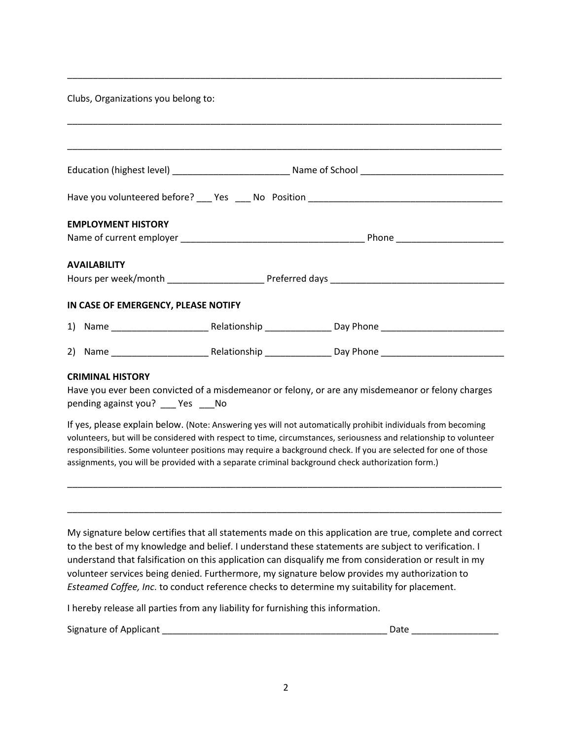Clubs, Organizations you belong to:

| <b>EMPLOYMENT HISTORY</b>                                   |  |                                                                                                                                                                                                                                                                                                                                                                                                                                                                                                                             |  |  |  |
|-------------------------------------------------------------|--|-----------------------------------------------------------------------------------------------------------------------------------------------------------------------------------------------------------------------------------------------------------------------------------------------------------------------------------------------------------------------------------------------------------------------------------------------------------------------------------------------------------------------------|--|--|--|
|                                                             |  |                                                                                                                                                                                                                                                                                                                                                                                                                                                                                                                             |  |  |  |
| <b>AVAILABILITY</b>                                         |  |                                                                                                                                                                                                                                                                                                                                                                                                                                                                                                                             |  |  |  |
|                                                             |  | Hours per week/month _______________________________Preferred days _________________________________                                                                                                                                                                                                                                                                                                                                                                                                                        |  |  |  |
| IN CASE OF EMERGENCY, PLEASE NOTIFY                         |  |                                                                                                                                                                                                                                                                                                                                                                                                                                                                                                                             |  |  |  |
|                                                             |  |                                                                                                                                                                                                                                                                                                                                                                                                                                                                                                                             |  |  |  |
|                                                             |  |                                                                                                                                                                                                                                                                                                                                                                                                                                                                                                                             |  |  |  |
| <b>CRIMINAL HISTORY</b><br>pending against you? __ Yes __No |  | Have you ever been convicted of a misdemeanor or felony, or are any misdemeanor or felony charges<br>If yes, please explain below. (Note: Answering yes will not automatically prohibit individuals from becoming                                                                                                                                                                                                                                                                                                           |  |  |  |
|                                                             |  | volunteers, but will be considered with respect to time, circumstances, seriousness and relationship to volunteer<br>responsibilities. Some volunteer positions may require a background check. If you are selected for one of those<br>assignments, you will be provided with a separate criminal background check authorization form.)                                                                                                                                                                                    |  |  |  |
|                                                             |  | My signature below certifies that all statements made on this application are true, complete and correct<br>to the best of my knowledge and belief. I understand these statements are subject to verification. I<br>understand that falsification on this application can disqualify me from consideration or result in my<br>volunteer services being denied. Furthermore, my signature below provides my authorization to<br>Esteamed Coffee, Inc. to conduct reference checks to determine my suitability for placement. |  |  |  |

\_\_\_\_\_\_\_\_\_\_\_\_\_\_\_\_\_\_\_\_\_\_\_\_\_\_\_\_\_\_\_\_\_\_\_\_\_\_\_\_\_\_\_\_\_\_\_\_\_\_\_\_\_\_\_\_\_\_\_\_\_\_\_\_\_\_\_\_\_\_\_\_\_\_\_\_\_\_\_\_\_\_\_\_\_

I hereby release all parties from any liability for furnishing this information.

| Signature of Applicant |  |  |
|------------------------|--|--|
|                        |  |  |